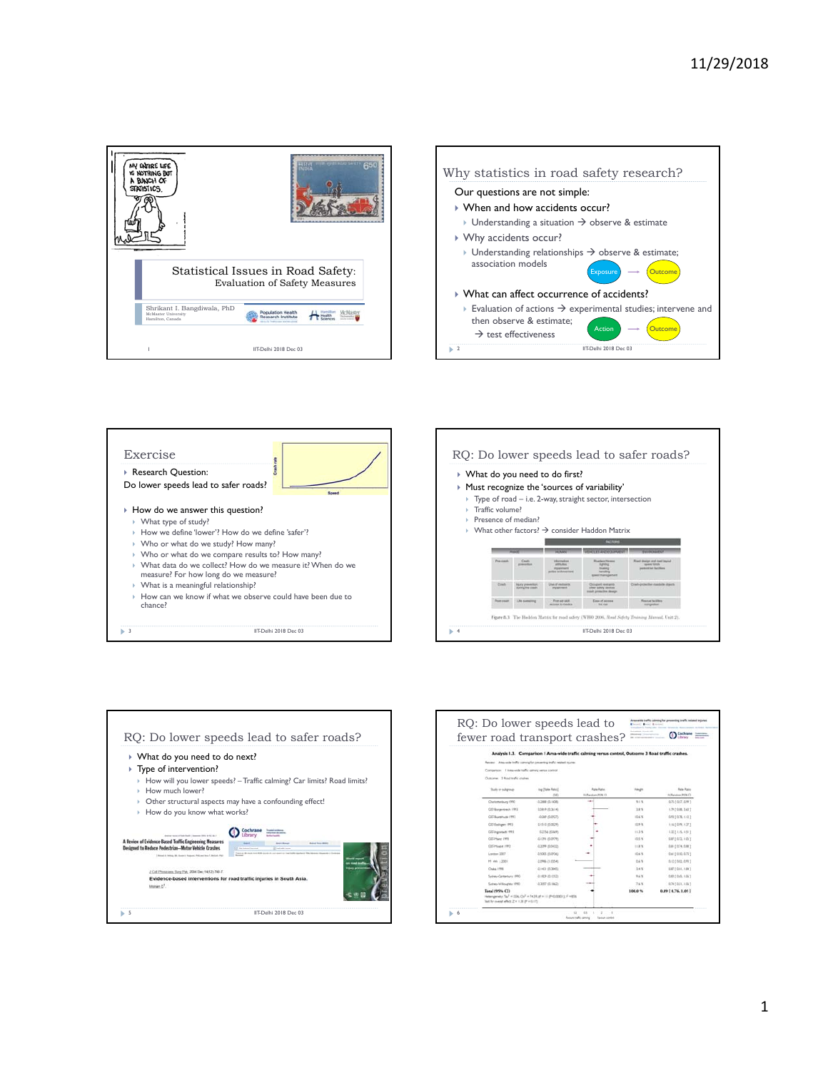









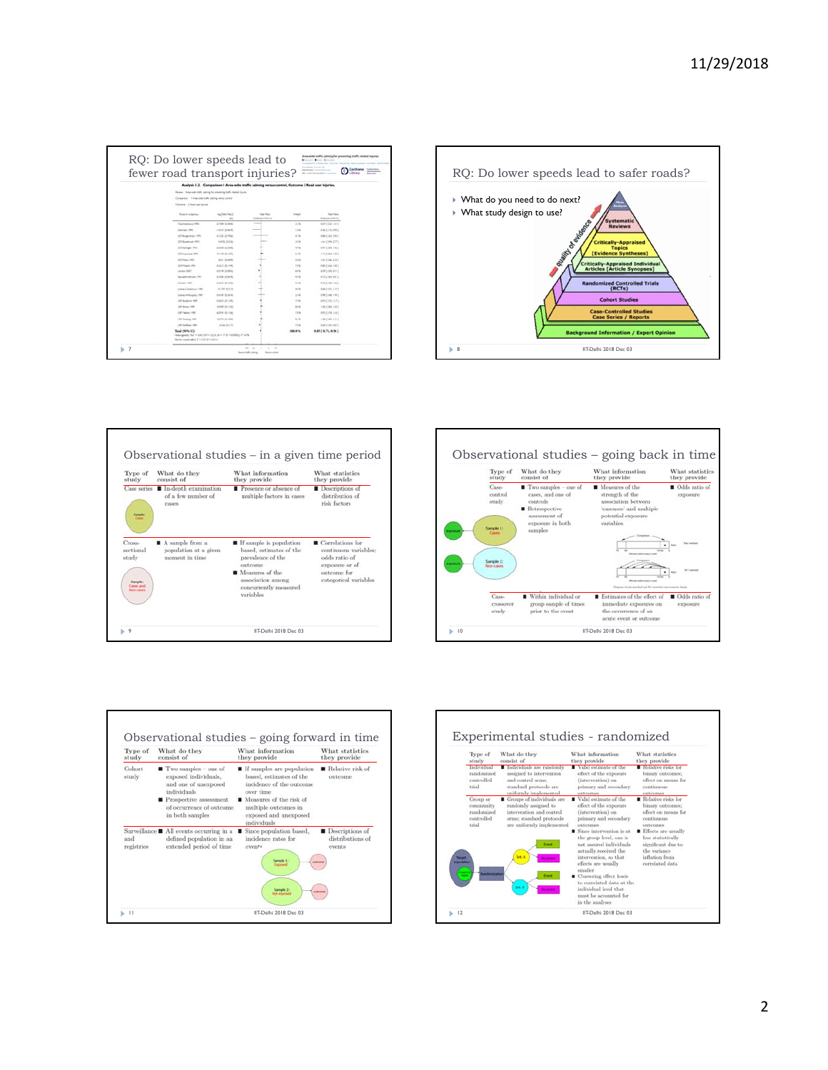| fewer road transport injuries?                                                                                                           |                               |                                                                                                    |              |                                    |  | RQ: Do lower speeds lead to sa                       |
|------------------------------------------------------------------------------------------------------------------------------------------|-------------------------------|----------------------------------------------------------------------------------------------------|--------------|------------------------------------|--|------------------------------------------------------|
|                                                                                                                                          |                               | Analysis 1.2. Comparison 1 Area-wide traffic calming versus control. Outcome 2 Road user injuries. |              |                                    |  |                                                      |
| Alexand - Arizoniak traffic callering for preventing kights regional income.                                                             |                               |                                                                                                    |              |                                    |  |                                                      |
| Consense 1 insecure rule strong and contain                                                                                              |                               |                                                                                                    |              |                                    |  | ▶ What do you need to do next?                       |
| Galvine, 1 Road one racres.                                                                                                              |                               |                                                                                                    |              |                                    |  |                                                      |
| <b>That's or subgroup</b>                                                                                                                | ing (Rees-Ramc)<br><b>COL</b> | <b>Russ-Rubs-</b><br>A/Ayraton-RDLC                                                                | <b>TRUCE</b> | <b>Tops Patro</b><br>Adhenier-PDLC |  | ▶ What study design to use?                          |
| Charlestown (RS)                                                                                                                         | JLTMM (C.MAR)                 | <b>STATISTICS</b>                                                                                  | 124          | 8471522.1411                       |  | Branch of British Rock                               |
| Cannack (RIC)                                                                                                                            | $-1227$ (5 kp/f)              |                                                                                                    | COR.         | 336 (115.070)                      |  |                                                      |
| GTI Bargermann (99)                                                                                                                      | 410127946                     |                                                                                                    | <b>STW</b>   | 144 (121.191)                      |  |                                                      |
| CETA-service (99)                                                                                                                        | SAN R250                      |                                                                                                    | 114          | 14t (19th 177)                     |  | <b>Critically-Appr</b>                               |
| (ISS Europe), 1943                                                                                                                       | ATEN SUMM                     |                                                                                                    | $-2.8$       | 3971544.14c)                       |  |                                                      |
| <b>GD express 1993</b>                                                                                                                   | 1110121470                    |                                                                                                    | $6.7 - 6.$   | 1101194-1023                       |  | <b>[Evidence Syntl</b>                               |
| CETFINAL IRRI                                                                                                                            | STILBACK                      |                                                                                                    | 24.8         | (21) 146, 1271                     |  |                                                      |
| OTTAWA (1951)                                                                                                                            | 高温过高口啊                        |                                                                                                    | TA'N         | 340 ( Sec. 131)                    |  | <b>Critically-Appraised<br/>Articles [Article Sy</b> |
| Lesso 281                                                                                                                                | <b>GET PE SECRETAL</b>        |                                                                                                    | $10 - 10$    | <b>ADEZEMATI</b>                   |  |                                                      |
| <b>Florida Bridgeway</b> 1981                                                                                                            | 4,091,03418                   |                                                                                                    | 1.14         | 3.75 (144.081)                     |  |                                                      |
| Swinger (981)                                                                                                                            | 4 352 B PKS                   |                                                                                                    | 1.1%         | <b>G7019461091</b>                 |  | <b>Randomized Contro</b>                             |
| Suite 4 Collectory 1992                                                                                                                  | 41/6/3010                     |                                                                                                    | $-0.5$       | 104215-1272                        |  |                                                      |
| Science Millscaptus (1983)                                                                                                               | cost disk+6                   |                                                                                                    | $2 + 8$      | 198 [ 146, 199 ]                   |  |                                                      |
| LIST Backers 1988                                                                                                                        | <b>GROUNDER</b>               |                                                                                                    | 76 B.        | 4912176-1-72                       |  |                                                      |
| LAP Boxes (668)                                                                                                                          | GAMES (\$1.4 million)         |                                                                                                    | 664          | 100 (194, 191)                     |  |                                                      |
| LIST FAINAL PRES                                                                                                                         | ARM BUILD                     |                                                                                                    | <b>TEN</b>   | 2011/27/8, 1.16 2                  |  | <b>Case-Controlled</b>                               |
| LAP Realing 1989                                                                                                                         | <b>GETSA IN HIRE</b>          |                                                                                                    | 539          | GREENLOST                          |  | <b>Case Series / R</b>                               |
| LIST Staffald 1988                                                                                                                       | 494 8115                      |                                                                                                    | 74%          | Sak ( 6 H, 687 )                   |  |                                                      |
| Total (95% CE)<br>returnations flash will be first to this at the of 20 to 12,000 for the first<br>has he countlated 2 x 222 (P + 2011). |                               |                                                                                                    | 196.81       | 8.8516.75, 8.961                   |  | <b>Background Information</b>                        |









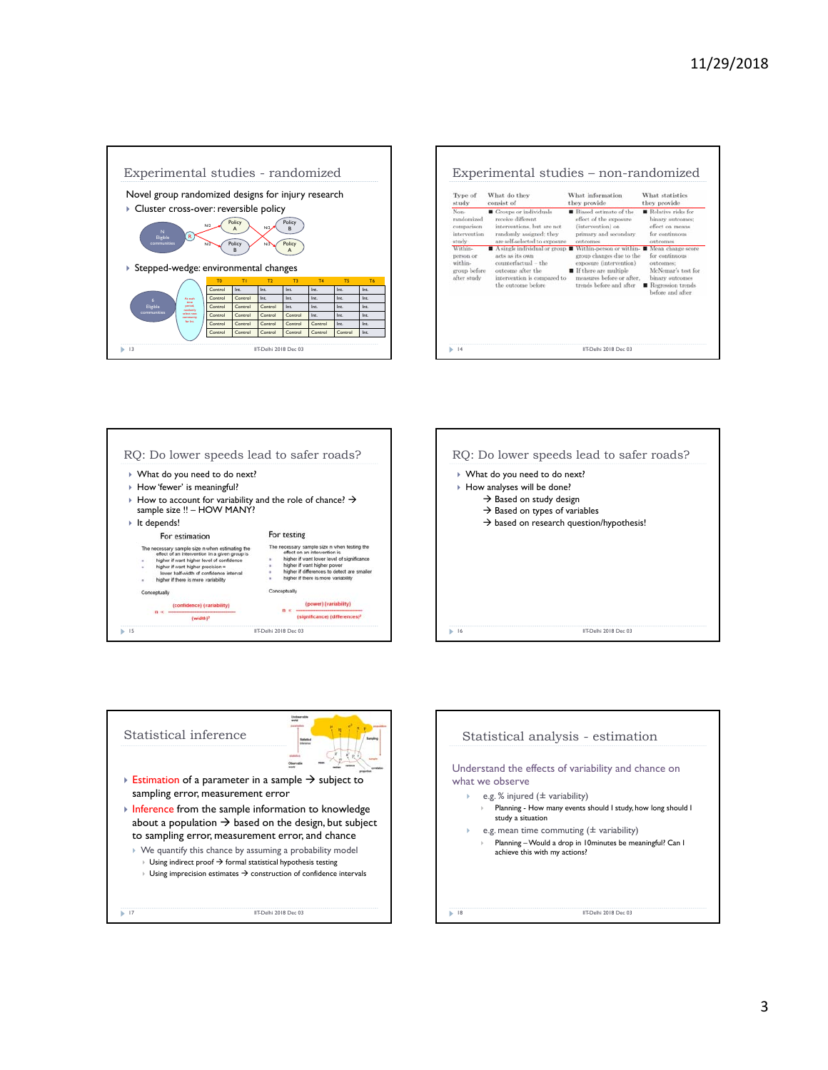

| Type of                                                                                                                      | What do they                                                                                                                                                                                                                                                                               | What information                                                                                                                                                                                                                                                               | What statistics                                                                                                                                                                                                                 |
|------------------------------------------------------------------------------------------------------------------------------|--------------------------------------------------------------------------------------------------------------------------------------------------------------------------------------------------------------------------------------------------------------------------------------------|--------------------------------------------------------------------------------------------------------------------------------------------------------------------------------------------------------------------------------------------------------------------------------|---------------------------------------------------------------------------------------------------------------------------------------------------------------------------------------------------------------------------------|
| study                                                                                                                        | consist of                                                                                                                                                                                                                                                                                 | they provide                                                                                                                                                                                                                                                                   | they provide                                                                                                                                                                                                                    |
| Non-<br>randomized<br>comparison<br>intervention<br>study.<br>Within-<br>person or<br>within-<br>group before<br>after study | Groups or individuals<br>receive different.<br>interventions, but are not<br>randomly assigned; they<br>are self-selected to exposure<br>A single individual or group<br>acts as its own<br>counterfactual - the<br>outcome after the<br>intervention is compared to<br>the outcome before | Riased estimate of the<br>effect of the exposure<br>(intervention) on<br>primary and secondary<br>outcomes<br>Within-person or within-<br>group changes due to the<br>exposure (intervention)<br>If there are multiple<br>measures before or after.<br>trends before and after | Relative risks for<br>binary outcomes;<br>effect on means.<br>for continuous<br>outcomes<br>Mean change score<br>for continuous<br>outcomes:<br>McNemar's test for<br>binary outcomes<br>Regression trends<br>before and after. |







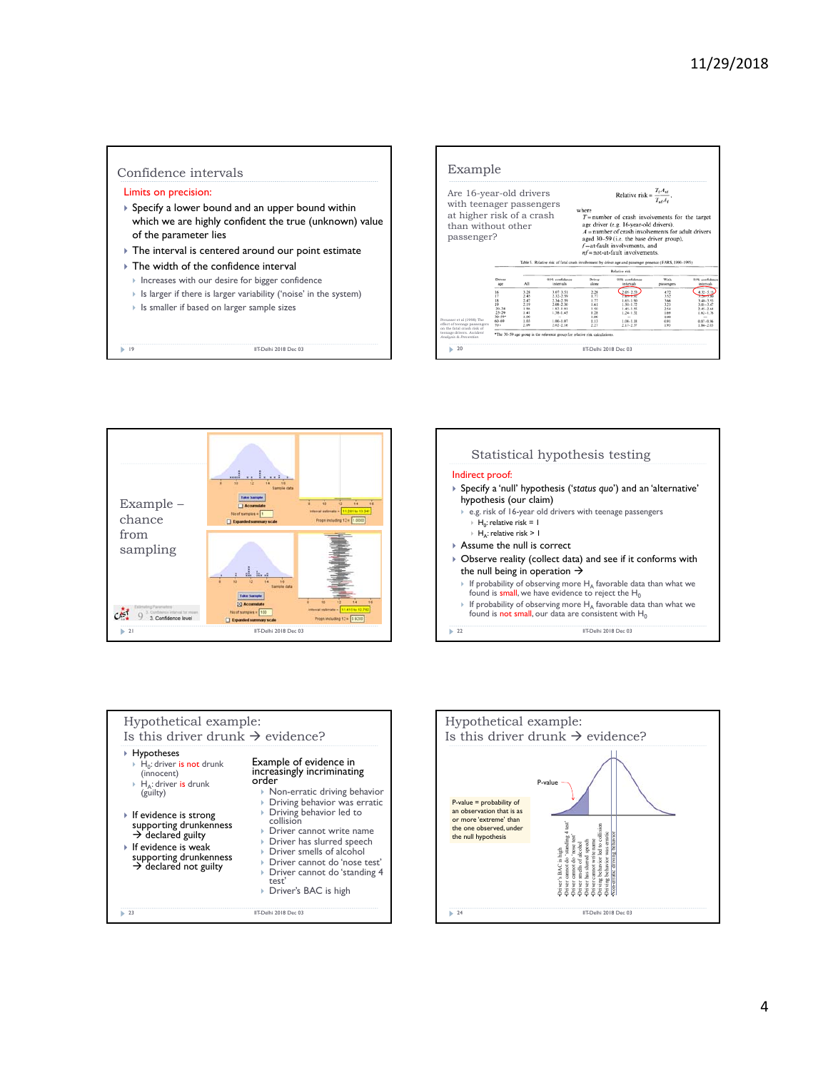## Confidence intervals

## Limits on precision:

- Specify a lower bound and an upper bound within which we are highly confident the true (unknown) value of the parameter lies
- The interval is centered around our point estimate
- ▶ The width of the confidence interval
	- Increases with our desire for bigger confidence
	- Is larger if there is larger variability ('noise' in the system)
	- Is smaller if based on larger sample sizes

19 IIT-Delhi 2018 Dec 03









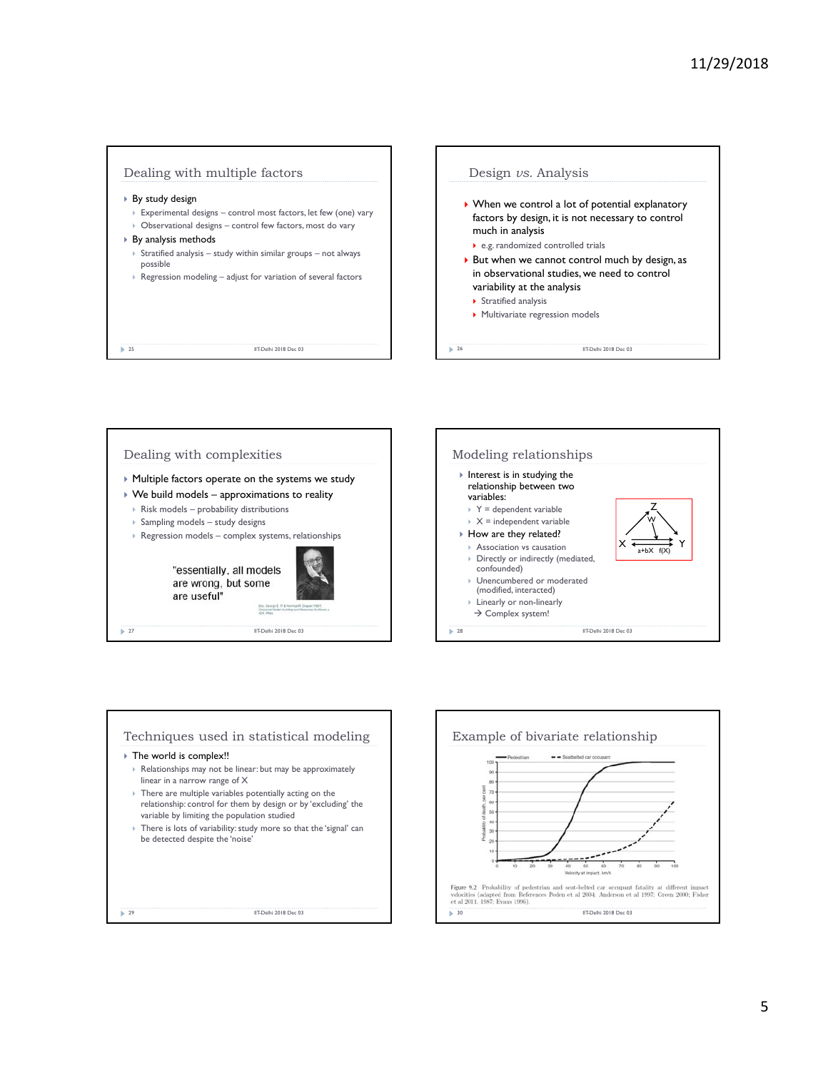





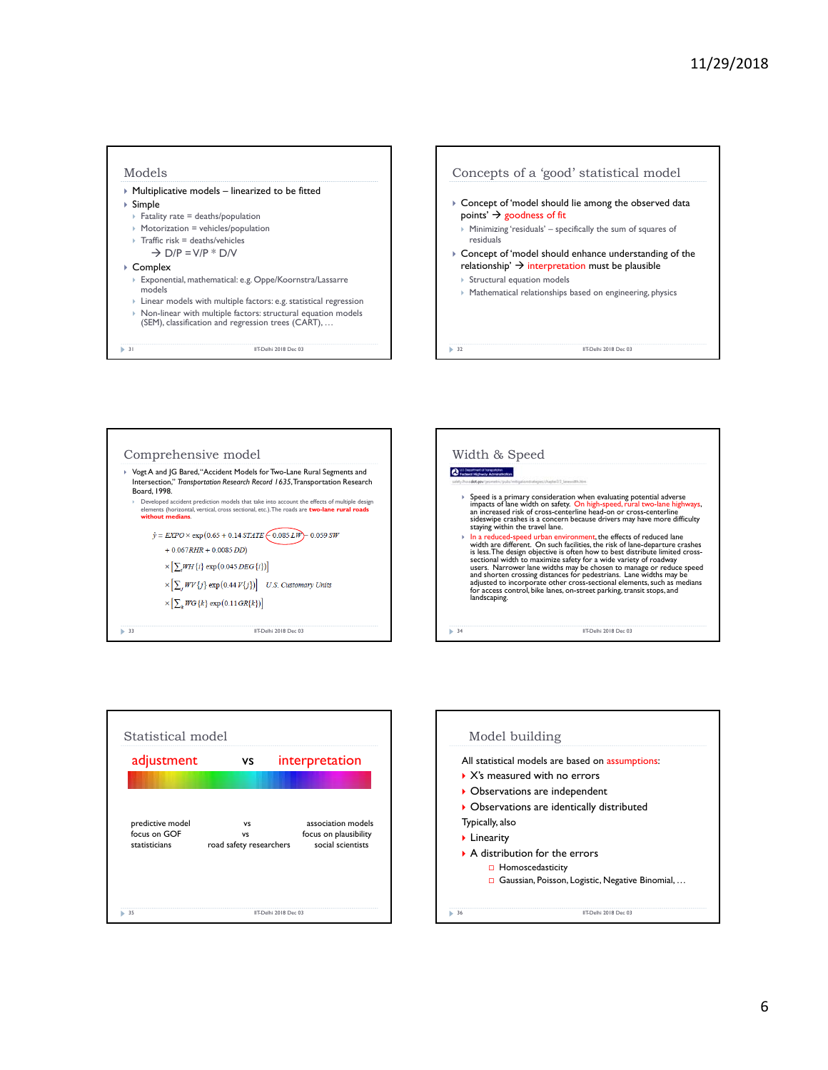